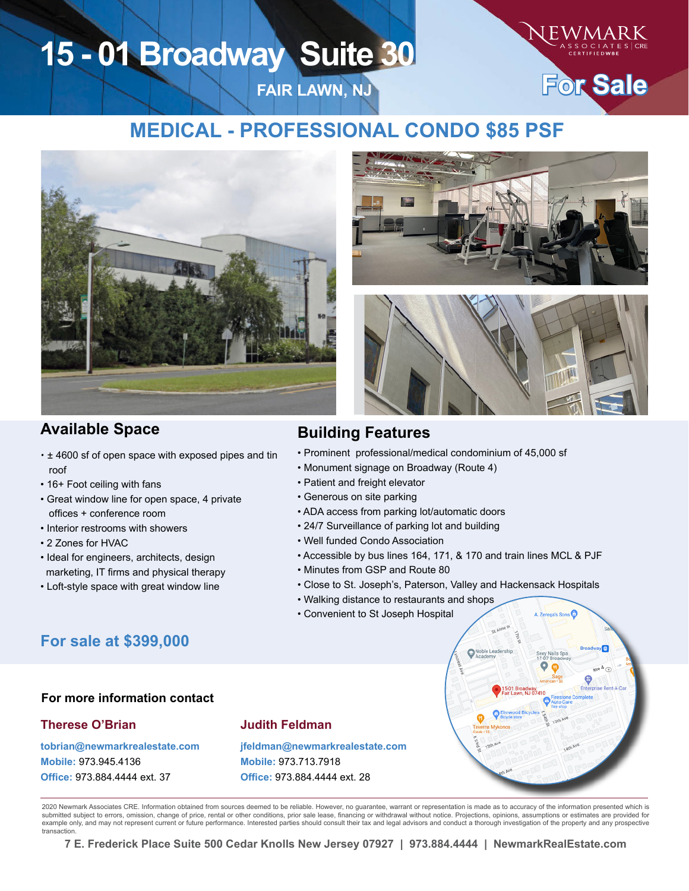# **15 - 01 Broadway Suite 30**



 $\sqrt{m}$ 

## **MEDICAL - PROFESSIONAL CONDO \$85 PSF**

**FAIR LAWN, NJ**



### **Available Space Building Features**

- ± 4600 sf of open space with exposed pipes and tin roof
- 16+ Foot ceiling with fans
- Great window line for open space, 4 private offices + conference room
- Interior restrooms with showers
- 2 Zones for HVAC
- Ideal for engineers, architects, design marketing, IT firms and physical therapy
- Loft-style space with great window line



- Prominent professional/medical condominium of 45,000 sf
- Monument signage on Broadway (Route 4)
- Patient and freight elevator
- Generous on site parking
- ADA access from parking lot/automatic doors
- 24/7 Surveillance of parking lot and building
- Well funded Condo Association
- Accessible by bus lines 164, 171, & 170 and train lines MCL & PJF
- Minutes from GSP and Route 80
- Close to St. Joseph's, Paterson, Valley and Hackensack Hospitals
- Walking distance to restaurants and shops
- Convenient to St Joseph Hospital



#### **For more information contact**

#### **Therese O'Brian**

**tobrian@newmarkrealestate.com Mobile:** 973.945.4136 **Office:** 973.884.4444 ext. 37

### **Judith Feldman**

**jfeldman@newmarkrealestate.com Mobile:** 973.713.7918 **Office:** 973.884.4444 ext. 28

2020 Newmark Associates CRE. Information obtained from sources deemed to be reliable. However, no guarantee, warrant or representation is made as to accuracy of the information presented which is submitted subject to errors, omission, change of price, rental or other conditions, prior sale lease, financing or withdrawal without notice. Projections, opinions, assumptions or estimates are provided for<br>example only, a transaction.

**7 E. Frederick Place Suite 500 Cedar Knolls New Jersey 07927 | 973.884.4444 | NewmarkRealEstate.com**